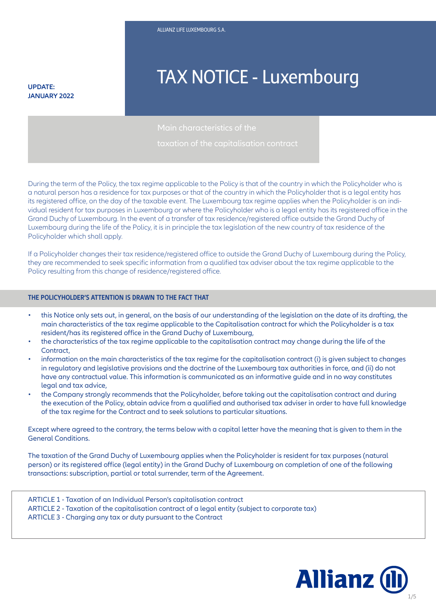**JANUARY 2022**

# **TAX NOTICE - Luxembourg**

During the term of the Policy, the tax regime applicable to the Policy is that of the country in which the Policyholder who is a natural person has a residence for tax purposes or that of the country in which the Policyholder that is a legal entity has its registered office, on the day of the taxable event. The Luxembourg tax regime applies when the Policyholder is an individual resident for tax purposes in Luxembourg or where the Policyholder who is a legal entity has its registered office in the Grand Duchy of Luxembourg. In the event of a transfer of tax residence/registered office outside the Grand Duchy of Luxembourg during the life of the Policy, it is in principle the tax legislation of the new country of tax residence of the Policyholder which shall apply.

If a Policyholder changes their tax residence/registered office to outside the Grand Duchy of Luxembourg during the Policy, they are recommended to seek specific information from a qualified tax adviser about the tax regime applicable to the Policy resulting from this change of residence/registered office.

#### **THE POLICYHOLDER'S ATTENTION IS DRAWN TO THE FACT THAT**

- this Notice only sets out, in general, on the basis of our understanding of the legislation on the date of its drafting, the main characteristics of the tax regime applicable to the Capitalisation contract for which the Policyholder is a tax resident/has its registered office in the Grand Duchy of Luxembourg,
- the characteristics of the tax regime applicable to the capitalisation contract may change during the life of the Contract,
- information on the main characteristics of the tax regime for the capitalisation contract (i) is given subject to changes in regulatory and legislative provisions and the doctrine of the Luxembourg tax authorities in force, and (ii) do not have any contractual value. This information is communicated as an informative guide and in no way constitutes legal and tax advice,
- of the tax regime for the Contract and to seek solutions to particular situations.<br>. • the Company strongly recommends that the Policyholder, before taking out the capitalisation contract and during the execution of the Policy, obtain advice from a qualified and authorised tax adviser in order to have full knowledge

Except where agreed to the contrary, the terms below with a capital letter have the meaning that is given to them in the General Conditions.

The taxation of the Grand Duchy of Luxembourg applies when the Policyholder is resident for tax purposes (natural person) or its registered office (legal entity) in the Grand Duchy of Luxembourg on completion of one of the following transactions: subscription, partial or total surrender, term of the Agreement.

ARTICLE 1 - Taxation of an Individual Person's capitalisation contract ARTICLE 2 - Taxation of the capitalisation contract of a legal entity (subject to corporate tax) ARTICLE 3 - Charging any tax or duty pursuant to the Contract

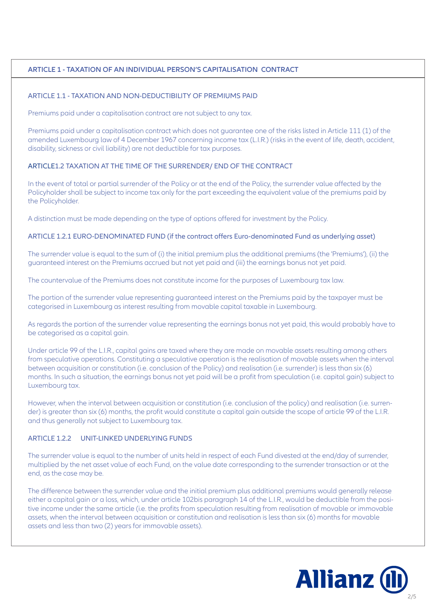# **ARTICLE 1 - TAXATION OF AN INDIVIDUAL PERSON'S CAPITALISATION CONTRACT**

#### ARTICLE 1.1 - TAXATION AND NON-DEDUCTIBILITY OF PREMIUMS PAID

Premiums paid under a capitalisation contract are not subject to any tax.

Premiums paid under a capitalisation contract which does not guarantee one of the risks listed in Article 111 (1) of the amended Luxembourg law of 4 December 1967 concerning income tax (L.I.R.) (risks in the event of life, death, accident, disability, sickness or civil liability) are not deductible for tax purposes.

#### ARTICLE1.2 TAXATION AT THE TIME OF THE SURRENDER/ END OF THE CONTRACT

In the event of total or partial surrender of the Policy or at the end of the Policy, the surrender value affected by the Policyholder shall be subject to income tax only for the part exceeding the equivalent value of the premiums paid by the Policyholder.

A distinction must be made depending on the type of options offered for investment by the Policy.

#### ARTICLE 1.2.1 EURO-DENOMINATED FUND (if the contract offers Euro-denominated Fund as underlying asset)

The surrender value is equal to the sum of (i) the initial premium plus the additional premiums (the 'Premiums'), (ii) the guaranteed interest on the Premiums accrued but not yet paid and (iii) the earnings bonus not yet paid.

The countervalue of the Premiums does not constitute income for the purposes of Luxembourg tax law.

The portion of the surrender value representing guaranteed interest on the Premiums paid by the taxpayer must be categorised in Luxembourg as interest resulting from movable capital taxable in Luxembourg.

As regards the portion of the surrender value representing the earnings bonus not yet paid, this would probably have to be categorised as a capital gain.

Under article 99 of the L.I.R., capital gains are taxed where they are made on movable assets resulting among others from speculative operations. Constituting a speculative operation is the realisation of movable assets when the interval between acquisition or constitution (i.e. conclusion of the Policy) and realisation (i.e. surrender) is less than six (6) months. In such a situation, the earnings bonus not yet paid will be a profit from speculation (i.e. capital gain) subject to Luxembourg tax.

However, when the interval between acquisition or constitution (i.e. conclusion of the policy) and realisation (i.e. surrender) is greater than six (6) months, the profit would constitute a capital gain outside the scope of article 99 of the L.I.R. and thus generally not subject to Luxembourg tax.

#### ARTICLE 1.2.2 UNIT-LINKED UNDERLYING FUNDS

The surrender value is equal to the number of units held in respect of each Fund divested at the end/day of surrender, multiplied by the net asset value of each Fund, on the value date corresponding to the surrender transaction or at the end, as the case may be.

The difference between the surrender value and the initial premium plus additional premiums would generally release either a capital gain or a loss, which, under article 102bis paragraph 14 of the L.I.R., would be deductible from the positive income under the same article (i.e. the profits from speculation resulting from realisation of movable or immovable assets, when the interval between acquisition or constitution and realisation is less than six (6) months for movable assets and less than two (2) years for immovable assets).

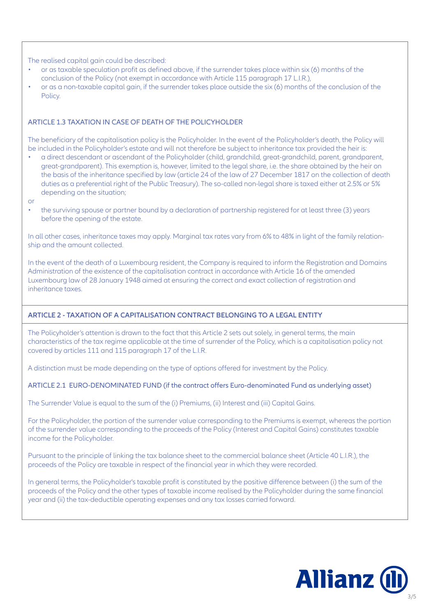The realised capital gain could be described:

- or as taxable speculation profit as defined above, if the surrender takes place within six (6) months of the conclusion of the Policy (not exempt in accordance with Article 115 paragraph 17 L.I.R.),
- or as a non-taxable capital gain, if the surrender takes place outside the six (6) months of the conclusion of the Policy.

#### ARTICLE 1.3 TAXATION IN CASE OF DEATH OF THE POLICYHOLDER

The beneficiary of the capitalisation policy is the Policyholder. In the event of the Policyholder's death, the Policy will be included in the Policyholder's estate and will not therefore be subject to inheritance tax provided the heir is:

- a direct descendant or ascendant of the Policyholder (child, grandchild, great-grandchild, parent, grandparent, great-grandparent). This exemption is, however, limited to the legal share, i.e. the share obtained by the heir on the basis of the inheritance specified by law (article 24 of the law of 27 December 1817 on the collection of death duties as a preferential right of the Public Treasury). The so-called non-legal share is taxed either at 2.5% or 5% depending on the situation;
- or
- the surviving spouse or partner bound by a declaration of partnership registered for at least three (3) years before the opening of the estate.

In all other cases, inheritance taxes may apply. Marginal tax rates vary from 6% to 48% in light of the family relationship and the amount collected.

In the event of the death of a Luxembourg resident, the Company is required to inform the Registration and Domains Administration of the existence of the capitalisation contract in accordance with Article 16 of the amended Luxembourg law of 28 January 1948 aimed at ensuring the correct and exact collection of registration and inheritance taxes.

## **ARTICLE 2 - TAXATION OF A CAPITALISATION CONTRACT BELONGING TO A LEGAL ENTITY**

The Policyholder's attention is drawn to the fact that this Article 2 sets out solely, in general terms, the main characteristics of the tax regime applicable at the time of surrender of the Policy, which is a capitalisation policy not covered by articles 111 and 115 paragraph 17 of the L.I.R.

A distinction must be made depending on the type of options offered for investment by the Policy.

## ARTICLE 2.1 EURO-DENOMINATED FUND (if the contract offers Euro-denominated Fund as underlying asset)

The Surrender Value is equal to the sum of the (i) Premiums, (ii) Interest and (iii) Capital Gains.

For the Policyholder, the portion of the surrender value corresponding to the Premiums is exempt, whereas the portion of the surrender value corresponding to the proceeds of the Policy (Interest and Capital Gains) constitutes taxable income for the Policyholder.

Pursuant to the principle of linking the tax balance sheet to the commercial balance sheet (Article 40 L.I.R.), the proceeds of the Policy are taxable in respect of the financial year in which they were recorded.

In general terms, the Policyholder's taxable profit is constituted by the positive difference between (i) the sum of the proceeds of the Policy and the other types of taxable income realised by the Policyholder during the same financial year and (ii) the tax-deductible operating expenses and any tax losses carried forward.

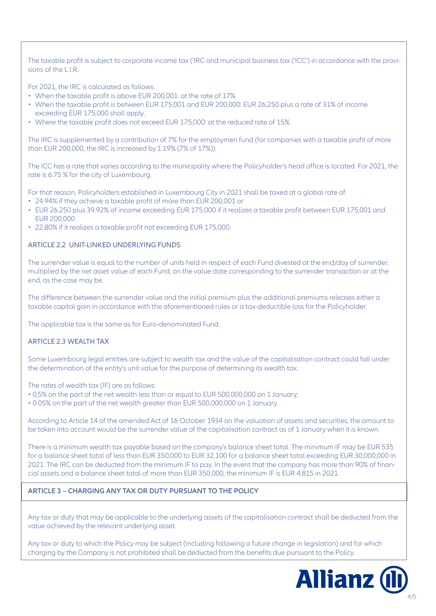The taxable profit is subject to corporate income tax ('IRC and municipal business tax ('ICC') in accordance with the provisions of the L.I.R.

For 2021, the IRC is calculated as follows:

- When the taxable profit is above EUR 200,001: at the rate of 17%.
- When the taxable profit is between EUR 175,001 and EUR 200,000: EUR 26,250 plus a rate of 31% of income exceeding EUR 175,000 shall apply.
- Where the taxable profit does not exceed EUR 175,000: at the reduced rate of 15%.

The IRC is supplemented by a contribution of 7% for the employmen fund (for companies with a taxable profit of more than EUR 200,000, the IRC is increased by 1.19% (7% of 17%)).

The ICC has a rate that varies according to the municipality where the Policyholder's head office is located. For 2021, the rate is 6.75 % for the city of Luxembourg.

For that reason, Policyholders established in Luxembourg City in 2021 shall be taxed at a global rate of:

- 24.94% if they achieve a taxable profit of more than EUR 200,001 or
- EUR 26.250 plus 39.92% of income exceeding EUR 175,000 if it realizes a taxable profit between EUR 175,001 and EUR 200,000
- 22.80% if it realizes a taxable profit not exceeding EUR 175,000.

## ARTICLE 2.2 UNIT-LINKED UNDERLYING FUNDS

The surrender value is equal to the number of units held in respect of each Fund divested at the end/day of surrender, multiplied by the net asset value of each Fund, on the value date corresponding to the surrender transaction or at the end, as the case may be.

The difference between the surrender value and the initial premium plus the additional premiums releases either a taxable capital gain in accordance with the aforementioned rules or a tax-deductible loss for the Policyholder.

The applicable tax is the same as for Euro-denominated Fund.

## ARTICLE 2.3 WEALTH TAX

Some Luxembourg legal entities are subject to wealth tax and the value of the capitalisation contract could fall under the determination of the entity's unit value for the purpose of determining its wealth tax.

The rates of wealth tax (IF) are as follows:

- 0,5% on the part of the net wealth less than or equal to EUR 500,000,000 on 1 January;
- 0.05% on the part of the net wealth greater than EUR 500,000,000 on 1 January.

According to Article 14 of the amended Act of 16 October 1934 on the valuation of assets and securities, the amount to be taken into account would be the surrender value of the capitalisation contract as of 1 January when it is known.

There is a minimum wealth tax payable based on the company's balance sheet total. The minimum IF may be EUR 535 for a balance sheet total of less than EUR 350,000 to EUR 32,100 for a balance sheet total exceeding EUR 30,000,000 in 2021. The IRC can be deducted from the minimum IF to pay. In the event that the company has more than 90% of financial assets and a balance sheet total of more than EUR 350,000, the minimum IF is EUR 4,815 in 2021.

## **ARTICLE 3 – CHARGING ANY TAX OR DUTY PURSUANT TO THE POLICY**

Any tax or duty that may be applicable to the underlying assets of the capitalisation contract shall be deducted from the value achieved by the relevant underlying asset.

Any tax or duty to which the Policy may be subject (including following a future change in legislation) and for which charging by the Company is not prohibited shall be deducted from the benefits due pursuant to the Policy.